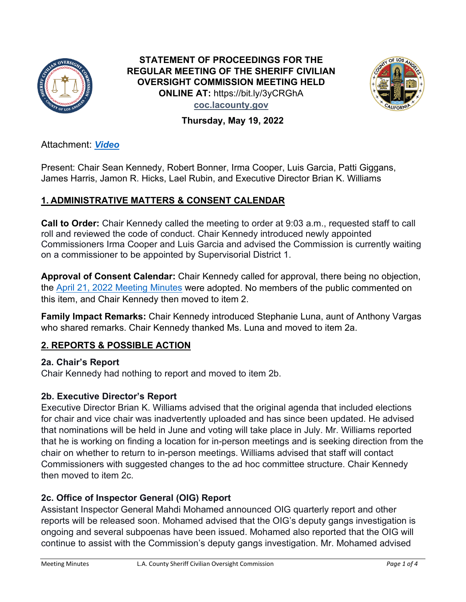

**STATEMENT OF PROCEEDINGS FOR THE REGULAR MEETING OF THE SHERIFF CIVILIAN OVERSIGHT COMMISSION MEETING HELD ONLINE AT:** https://bit.ly/3yCRGhA **coc.lacounty.gov**



**Thursday, May 19, 2022**

Attachment[:](https://lacountyboardofsupervisors.webex.com/lacountyboardofsupervisors/lsr.php?RCID=0a43e3204991429dbbf0354644909aec) *[Video](https://youtu.be/z1QMEvwrUMA)*

Present: Chair Sean Kennedy, Robert Bonner, Irma Cooper, Luis Garcia, Patti Giggans, James Harris, Jamon R. Hicks, Lael Rubin, and Executive Director Brian K. Williams

# **1. ADMINISTRATIVE MATTERS & CONSENT CALENDAR**

**Call to Order:** Chair Kennedy called the meeting to order at 9:03 a.m., requested staff to call roll and reviewed the code of conduct. Chair Kennedy introduced newly appointed Commissioners Irma Cooper and Luis Garcia and advised the Commission is currently waiting on a commissioner to be appointed by Supervisorial District 1.

**Approval of Consent Calendar:** Chair Kennedy called for approval, there being no objection, the [April 21, 2022 Meeting Minutes](https://file.lacounty.gov/SDSInter/bos/commissionpublications/agenda/1124182_MeetingMinutes4-21-22final.pdf) were adopted. No members of the public commented on this item, and Chair Kennedy then moved to item 2.

**Family Impact Remarks:** Chair Kennedy introduced Stephanie Luna, aunt of Anthony Vargas who shared remarks. Chair Kennedy thanked Ms. Luna and moved to item 2a.

# **2. REPORTS & POSSIBLE ACTION**

**2a. Chair's Report**  Chair Kennedy had nothing to report and moved to item 2b.

#### **2b. Executive Director's Report**

Executive Director Brian K. Williams advised that the original agenda that included elections for chair and vice chair was inadvertently uploaded and has since been updated. He advised that nominations will be held in June and voting will take place in July. Mr. Williams reported that he is working on finding a location for in-person meetings and is seeking direction from the chair on whether to return to in-person meetings. Williams advised that staff will contact Commissioners with suggested changes to the ad hoc committee structure. Chair Kennedy then moved to item 2c.

# **2c. Office of Inspector General (OIG) Report**

Assistant Inspector General Mahdi Mohamed announced OIG quarterly report and other reports will be released soon. Mohamed advised that the OIG's deputy gangs investigation is ongoing and several subpoenas have been issued. Mohamed also reported that the OIG will continue to assist with the Commission's deputy gangs investigation. Mr. Mohamed advised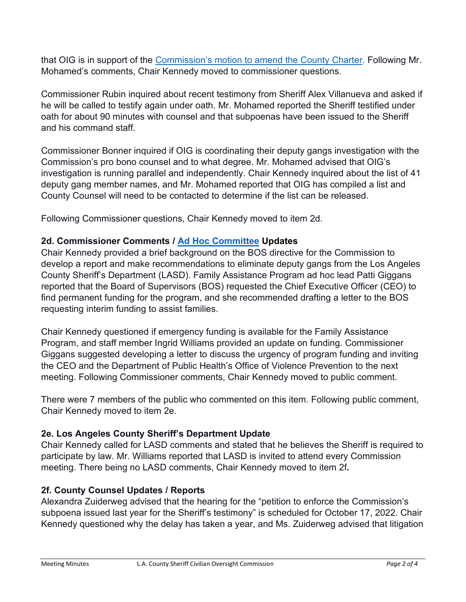that OIG is in support of the [Commission's motion to amend the County Charter.](http://file.lacounty.gov/SDSInter/bos/supdocs/ResolutioninSupportofCountyCharterAmendment.pdf) Following Mr. Mohamed's comments, Chair Kennedy moved to commissioner questions.

Commissioner Rubin inquired about recent testimony from Sheriff Alex Villanueva and asked if he will be called to testify again under oath. Mr. Mohamed reported the Sheriff testified under oath for about 90 minutes with counsel and that subpoenas have been issued to the Sheriff and his command staff.

Commissioner Bonner inquired if OIG is coordinating their deputy gangs investigation with the Commission's pro bono counsel and to what degree. Mr. Mohamed advised that OIG's investigation is running parallel and independently. Chair Kennedy inquired about the list of 41 deputy gang member names, and Mr. Mohamed reported that OIG has compiled a list and County Counsel will need to be contacted to determine if the list can be released.

Following Commissioner questions, Chair Kennedy moved to item 2d.

#### **2d. Commissioner Comments / [Ad Hoc Committee](http://file.lacounty.gov/SDSInter/bos/supdocs/AdhocCommitteeList6-28-21.pdf) Updates**

Chair Kennedy provided a brief background on the BOS directive for the Commission to develop a report and make recommendations to eliminate deputy gangs from the Los Angeles County Sheriff's Department (LASD). Family Assistance Program ad hoc lead Patti Giggans reported that the Board of Supervisors (BOS) requested the Chief Executive Officer (CEO) to find permanent funding for the program, and she recommended drafting a letter to the BOS requesting interim funding to assist families.

Chair Kennedy questioned if emergency funding is available for the Family Assistance Program, and staff member Ingrid Williams provided an update on funding. Commissioner Giggans suggested developing a letter to discuss the urgency of program funding and inviting the CEO and the Department of Public Health's Office of Violence Prevention to the next meeting. Following Commissioner comments, Chair Kennedy moved to public comment.

There were 7 members of the public who commented on this item. Following public comment, Chair Kennedy moved to item 2e.

# **2e. Los Angeles County Sheriff's Department Update**

Chair Kennedy called for LASD comments and stated that he believes the Sheriff is required to participate by law. Mr. Williams reported that LASD is invited to attend every Commission meeting. There being no LASD comments, Chair Kennedy moved to item 2f**.** 

# **2f. County Counsel Updates / Reports**

Alexandra Zuiderweg advised that the hearing for the "petition to enforce the Commission's subpoena issued last year for the Sheriff's testimony" is scheduled for October 17, 2022. Chair Kennedy questioned why the delay has taken a year, and Ms. Zuiderweg advised that litigation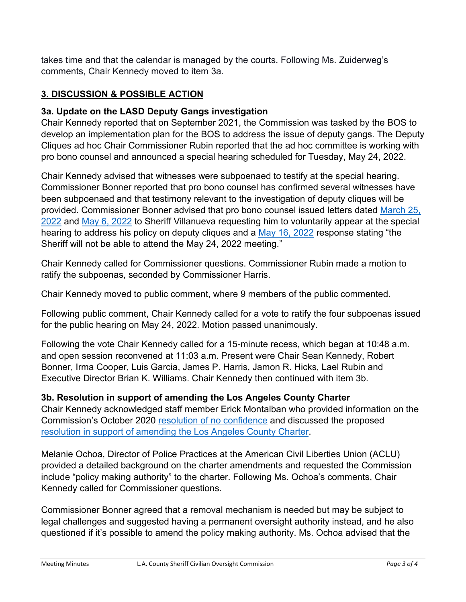takes time and that the calendar is managed by the courts. Following Ms. Zuiderweg's comments, Chair Kennedy moved to item 3a.

#### **3. DISCUSSION & POSSIBLE ACTION**

#### **3a. Update on the LASD Deputy Gangs investigation**

Chair Kennedy reported that on September 2021, the Commission was tasked by the BOS to develop an implementation plan for the BOS to address the issue of deputy gangs. The Deputy Cliques ad hoc Chair Commissioner Rubin reported that the ad hoc committee is working with pro bono counsel and announced a special hearing scheduled for Tuesday, May 24, 2022.

Chair Kennedy advised that witnesses were subpoenaed to testify at the special hearing. Commissioner Bonner reported that pro bono counsel has confirmed several witnesses have been subpoenaed and that testimony relevant to the investigation of deputy cliques will be provided. Commissioner Bonner advised that pro bono counsel issued letters dated [March 25,](http://file.lacounty.gov/SDSInter/bos/supdocs/DeixlerLettertoSheriffVillanueva3.25.2022.PDF)  [2022](http://file.lacounty.gov/SDSInter/bos/supdocs/DeixlerLettertoSheriffVillanueva3.25.2022.PDF) and [May 6, 2022](http://file.lacounty.gov/SDSInter/bos/supdocs/DeixlerLettertoSheriffVillanueva5.6.2022.PDF.PDF) to Sheriff Villanueva requesting him to voluntarily appear at the special hearing to address his policy on deputy cliques and a [May 16, 2022](http://file.lacounty.gov/SDSInter/bos/supdocs/LASDsresponsetoBert5.16.2022.pdf) response stating "the Sheriff will not be able to attend the May 24, 2022 meeting."

Chair Kennedy called for Commissioner questions. Commissioner Rubin made a motion to ratify the subpoenas, seconded by Commissioner Harris.

Chair Kennedy moved to public comment, where 9 members of the public commented.

Following public comment, Chair Kennedy called for a vote to ratify the four subpoenas issued for the public hearing on May 24, 2022. Motion passed unanimously.

Following the vote Chair Kennedy called for a 15-minute recess, which began at 10:48 a.m. and open session reconvened at 11:03 a.m. Present were Chair Sean Kennedy, Robert Bonner, Irma Cooper, Luis Garcia, James P. Harris, Jamon R. Hicks, Lael Rubin and Executive Director Brian K. Williams. Chair Kennedy then continued with item 3b.

#### **3b. Resolution in support of amending the Los Angeles County Charter**

Chair Kennedy acknowledged staff member Erick Montalban who provided information on the Commission's October 2020 [resolution of no confidence](http://file.lacounty.gov/SDSInter/bos/commissionpublications/report/1079910_Final-ResolutionreNoConfidenceintheSheriff10.15.2020.pdf) and discussed the proposed [resolution in support of amending the Los Angeles County Charter.](http://file.lacounty.gov/SDSInter/bos/supdocs/ResolutioninSupportofCountyCharterAmendment.pdf)

Melanie Ochoa, Director of Police Practices at the American Civil Liberties Union (ACLU) provided a detailed background on the charter amendments and requested the Commission include "policy making authority" to the charter. Following Ms. Ochoa's comments, Chair Kennedy called for Commissioner questions.

Commissioner Bonner agreed that a removal mechanism is needed but may be subject to legal challenges and suggested having a permanent oversight authority instead, and he also questioned if it's possible to amend the policy making authority. Ms. Ochoa advised that the